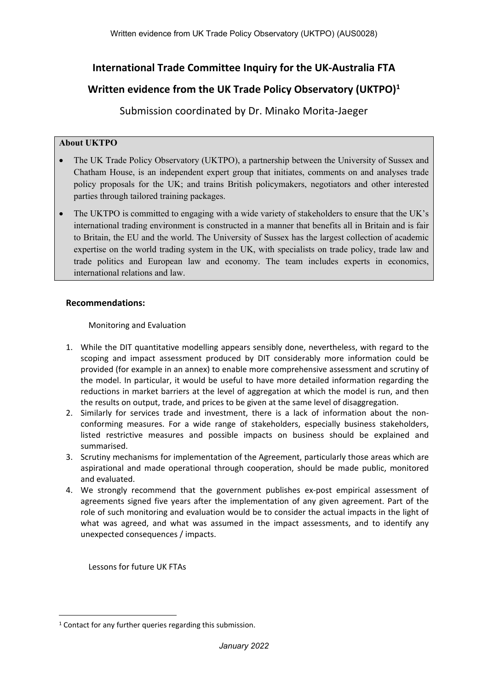# **International Trade Committee Inquiry for the UK-Australia FTA**

# **Written evidence from the UK Trade Policy Observatory (UKTPO)<sup>1</sup>**

Submission coordinated by Dr. Minako Morita-Jaeger

# **About UKTPO**

- The UK Trade Policy Observatory (UKTPO), a partnership between the University of Sussex and Chatham House, is an independent expert group that initiates, comments on and analyses trade policy proposals for the UK; and trains British policymakers, negotiators and other interested parties through tailored training packages.
- The UKTPO is committed to engaging with a wide variety of stakeholders to ensure that the UK's international trading environment is constructed in a manner that benefits all in Britain and is fair to Britain, the EU and the world. The University of Sussex has the largest collection of academic expertise on the world trading system in the UK, with specialists on trade policy, trade law and trade politics and European law and economy. The team includes experts in economics, international relations and law.

# **Recommendations:**

Monitoring and Evaluation

- 1. While the DIT quantitative modelling appears sensibly done, nevertheless, with regard to the scoping and impact assessment produced by DIT considerably more information could be provided (for example in an annex) to enable more comprehensive assessment and scrutiny of the model. In particular, it would be useful to have more detailed information regarding the reductions in market barriers at the level of aggregation at which the model is run, and then the results on output, trade, and prices to be given at the same level of disaggregation.
- 2. Similarly for services trade and investment, there is a lack of information about the nonconforming measures. For a wide range of stakeholders, especially business stakeholders, listed restrictive measures and possible impacts on business should be explained and summarised.
- 3. Scrutiny mechanisms for implementation of the Agreement, particularly those areas which are aspirational and made operational through cooperation, should be made public, monitored and evaluated.
- 4. We strongly recommend that the government publishes ex-post empirical assessment of agreements signed five years after the implementation of any given agreement. Part of the role of such monitoring and evaluation would be to consider the actual impacts in the light of what was agreed, and what was assumed in the impact assessments, and to identify any unexpected consequences / impacts.

Lessons for future UK FTAs

 $1$  Contact for any further queries regarding this submission.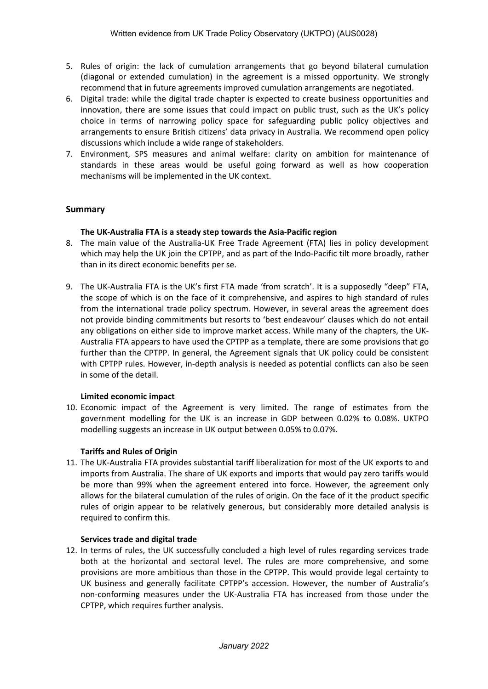- 5. Rules of origin: the lack of cumulation arrangements that go beyond bilateral cumulation (diagonal or extended cumulation) in the agreement is a missed opportunity. We strongly recommend that in future agreements improved cumulation arrangements are negotiated.
- 6. Digital trade: while the digital trade chapter is expected to create business opportunities and innovation, there are some issues that could impact on public trust, such as the UK's policy choice in terms of narrowing policy space for safeguarding public policy objectives and arrangements to ensure British citizens' data privacy in Australia. We recommend open policy discussions which include a wide range of stakeholders.
- 7. Environment, SPS measures and animal welfare: clarity on ambition for maintenance of standards in these areas would be useful going forward as well as how cooperation mechanisms will be implemented in the UK context.

### **Summary**

### **The UK-Australia FTA is a steady step towards the Asia-Pacific region**

- 8. The main value of the Australia-UK Free Trade Agreement (FTA) lies in policy development which may help the UK join the CPTPP, and as part of the Indo-Pacific tilt more broadly, rather than in its direct economic benefits per se.
- 9. The UK-Australia FTA is the UK's first FTA made 'from scratch'. It is a supposedly "deep" FTA, the scope of which is on the face of it comprehensive, and aspires to high standard of rules from the international trade policy spectrum. However, in several areas the agreement does not provide binding commitments but resorts to 'best endeavour' clauses which do not entail any obligations on either side to improve market access. While many of the chapters, the UK-Australia FTA appears to have used the CPTPP as a template, there are some provisions that go further than the CPTPP. In general, the Agreement signals that UK policy could be consistent with CPTPP rules. However, in-depth analysis is needed as potential conflicts can also be seen in some of the detail.

#### **Limited economic impact**

10. Economic impact of the Agreement is very limited. The range of estimates from the government modelling for the UK is an increase in GDP between 0.02% to 0.08%. UKTPO modelling suggests an increase in UK output between 0.05% to 0.07%.

#### **Tariffs and Rules of Origin**

11. The UK-Australia FTA provides substantial tariff liberalization for most of the UK exports to and imports from Australia. The share of UK exports and imports that would pay zero tariffs would be more than 99% when the agreement entered into force. However, the agreement only allows for the bilateral cumulation of the rules of origin. On the face of it the product specific rules of origin appear to be relatively generous, but considerably more detailed analysis is required to confirm this.

#### **Services trade and digital trade**

12. In terms of rules, the UK successfully concluded a high level of rules regarding services trade both at the horizontal and sectoral level. The rules are more comprehensive, and some provisions are more ambitious than those in the CPTPP. This would provide legal certainty to UK business and generally facilitate CPTPP's accession. However, the number of Australia's non-conforming measures under the UK-Australia FTA has increased from those under the CPTPP, which requires further analysis.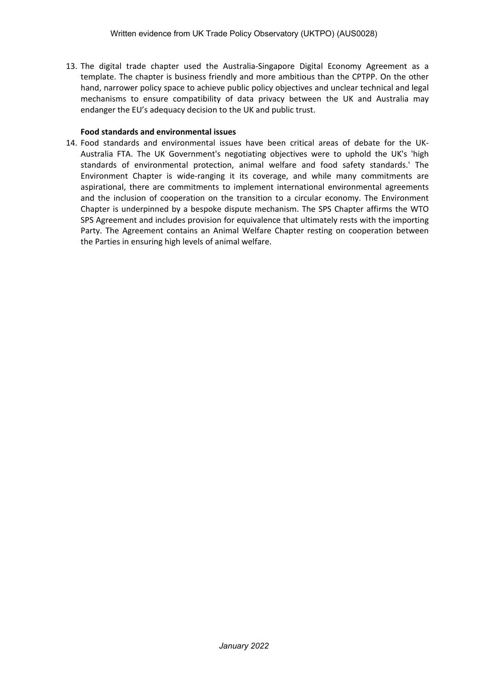13. The digital trade chapter used the Australia-Singapore Digital Economy Agreement as a template. The chapter is business friendly and more ambitious than the CPTPP. On the other hand, narrower policy space to achieve public policy objectives and unclear technical and legal mechanisms to ensure compatibility of data privacy between the UK and Australia may endanger the EU's adequacy decision to the UK and public trust.

### **Food standards and environmental issues**

14. Food standards and environmental issues have been critical areas of debate for the UK-Australia FTA. The UK Government's negotiating objectives were to uphold the UK's 'high standards of environmental protection, animal welfare and food safety standards.' The Environment Chapter is wide-ranging it its coverage, and while many commitments are aspirational, there are commitments to implement international environmental agreements and the inclusion of cooperation on the transition to a circular economy. The Environment Chapter is underpinned by a bespoke dispute mechanism. The SPS Chapter affirms the WTO SPS Agreement and includes provision for equivalence that ultimately rests with the importing Party. The Agreement contains an Animal Welfare Chapter resting on cooperation between the Parties in ensuring high levels of animal welfare.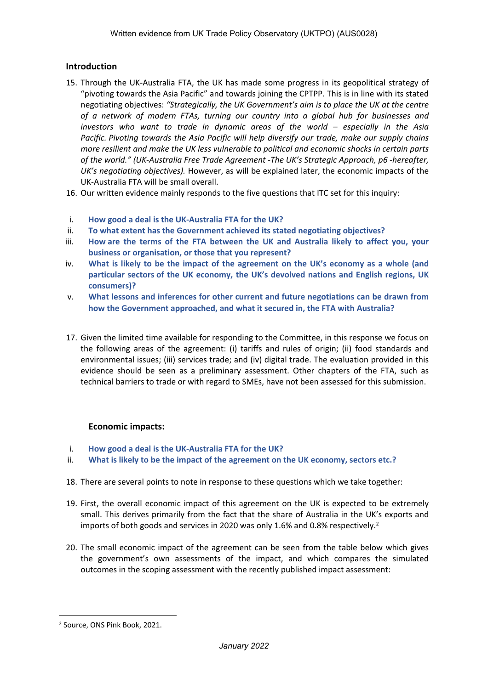### **Introduction**

- 15. Through the UK-Australia FTA, the UK has made some progress in its geopolitical strategy of "pivoting towards the Asia Pacific" and towards joining the CPTPP. This is in line with its stated negotiating objectives: *"Strategically, the UK Government's aim is to place the UK at the centre of a network of modern FTAs, turning our country into a global hub for businesses and investors who want to trade in dynamic areas of the world – especially in the Asia Pacific. Pivoting towards the Asia Pacific will help diversify our trade, make our supply chains more resilient and make the UK less vulnerable to political and economic shocks in certain parts of the world." (UK-Australia Free Trade Agreement -The UK's Strategic Approach, p6 -hereafter, UK's negotiating objectives).* However, as will be explained later, the economic impacts of the UK-Australia FTA will be small overall.
- 16. Our written evidence mainly responds to the five questions that ITC set for this inquiry:
- i. **How good a deal is the UK-Australia FTA for the UK?**
- ii. **To what extent has the Government achieved its stated negotiating objectives?**
- iii. **How are the terms of the FTA between the UK and Australia likely to affect you, your business or organisation, or those that you represent?**
- iv. **What is likely to be the impact of the agreement on the UK's economy as a whole (and particular sectors of the UK economy, the UK's devolved nations and English regions, UK consumers)?**
- v. **What lessons and inferences for other current and future negotiations can be drawn from how the Government approached, and what it secured in, the FTA with Australia?**
- 17. Given the limited time available for responding to the Committee, in this response we focus on the following areas of the agreement: (i) tariffs and rules of origin; (ii) food standards and environmental issues; (iii) services trade; and (iv) digital trade. The evaluation provided in this evidence should be seen as a preliminary assessment. Other chapters of the FTA, such as technical barriers to trade or with regard to SMEs, have not been assessed for this submission.

### **Economic impacts:**

- i. **How good a deal is the UK-Australia FTA for the UK?**
- ii. **What is likely to be the impact of the agreement on the UK economy, sectors etc.?**
- 18. There are several points to note in response to these questions which we take together:
- 19. First, the overall economic impact of this agreement on the UK is expected to be extremely small. This derives primarily from the fact that the share of Australia in the UK's exports and imports of both goods and services in 2020 was only 1.6% and 0.8% respectively.<sup>2</sup>
- 20. The small economic impact of the agreement can be seen from the table below which gives the government's own assessments of the impact, and which compares the simulated outcomes in the scoping assessment with the recently published impact assessment:

<sup>2</sup> Source, ONS Pink Book, 2021.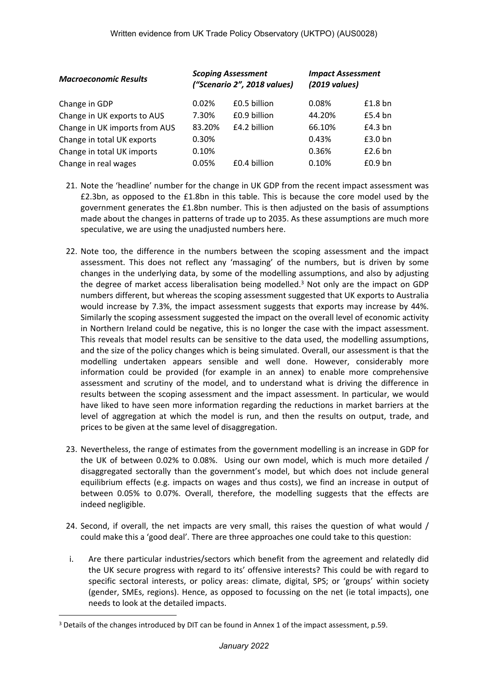| <b>Macroeconomic Results</b>  | <b>Scoping Assessment</b><br>("Scenario 2", 2018 values) |              | <b>Impact Assessment</b><br>$(2019 \text{ values})$ |           |
|-------------------------------|----------------------------------------------------------|--------------|-----------------------------------------------------|-----------|
| Change in GDP                 | 0.02%                                                    | £0.5 billion | 0.08%                                               | $£1.8$ bn |
| Change in UK exports to AUS   | 7.30%                                                    | £0.9 billion | 44.20%                                              | £5.4 bn   |
| Change in UK imports from AUS | 83.20%                                                   | £4.2 billion | 66.10%                                              | £4.3 bn   |
| Change in total UK exports    | 0.30%                                                    |              | 0.43%                                               | £3.0 bn   |
| Change in total UK imports    | 0.10%                                                    |              | 0.36%                                               | £2.6 bn   |
| Change in real wages          | 0.05%                                                    | £0.4 billion | 0.10%                                               | $£0.9$ bn |

- 21. Note the 'headline' number for the change in UK GDP from the recent impact assessment was £2.3bn, as opposed to the £1.8bn in this table. This is because the core model used by the government generates the £1.8bn number. This is then adjusted on the basis of assumptions made about the changes in patterns of trade up to 2035. As these assumptions are much more speculative, we are using the unadjusted numbers here.
- 22. Note too, the difference in the numbers between the scoping assessment and the impact assessment. This does not reflect any 'massaging' of the numbers, but is driven by some changes in the underlying data, by some of the modelling assumptions, and also by adjusting the degree of market access liberalisation being modelled.<sup>3</sup> Not only are the impact on GDP numbers different, but whereas the scoping assessment suggested that UK exports to Australia would increase by 7.3%, the impact assessment suggests that exports may increase by 44%. Similarly the scoping assessment suggested the impact on the overall level of economic activity in Northern Ireland could be negative, this is no longer the case with the impact assessment. This reveals that model results can be sensitive to the data used, the modelling assumptions, and the size of the policy changes which is being simulated. Overall, our assessment is that the modelling undertaken appears sensible and well done. However, considerably more information could be provided (for example in an annex) to enable more comprehensive assessment and scrutiny of the model, and to understand what is driving the difference in results between the scoping assessment and the impact assessment. In particular, we would have liked to have seen more information regarding the reductions in market barriers at the level of aggregation at which the model is run, and then the results on output, trade, and prices to be given at the same level of disaggregation.
- 23. Nevertheless, the range of estimates from the government modelling is an increase in GDP for the UK of between 0.02% to 0.08%. Using our own model, which is much more detailed / disaggregated sectorally than the government's model, but which does not include general equilibrium effects (e.g. impacts on wages and thus costs), we find an increase in output of between 0.05% to 0.07%. Overall, therefore, the modelling suggests that the effects are indeed negligible.
- 24. Second, if overall, the net impacts are very small, this raises the question of what would / could make this a 'good deal'. There are three approaches one could take to this question:
- i. Are there particular industries/sectors which benefit from the agreement and relatedly did the UK secure progress with regard to its' offensive interests? This could be with regard to specific sectoral interests, or policy areas: climate, digital, SPS; or 'groups' within society (gender, SMEs, regions). Hence, as opposed to focussing on the net (ie total impacts), one needs to look at the detailed impacts.

<sup>&</sup>lt;sup>3</sup> Details of the changes introduced by DIT can be found in Annex 1 of the impact assessment, p.59.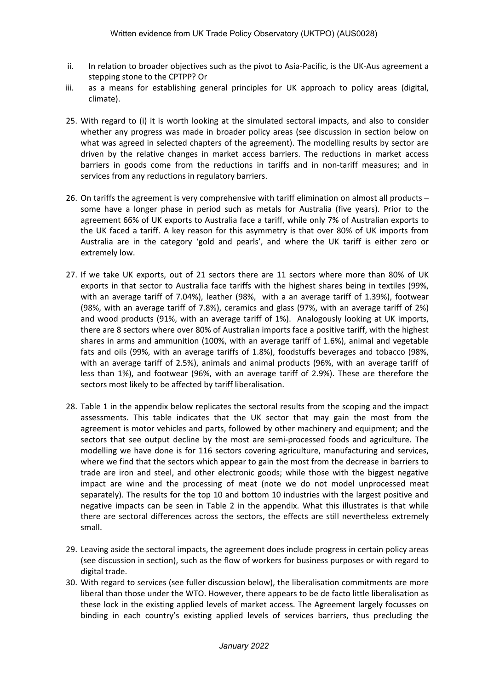- ii. In relation to broader objectives such as the pivot to Asia-Pacific, is the UK-Aus agreement a stepping stone to the CPTPP? Or
- iii. as a means for establishing general principles for UK approach to policy areas (digital, climate).
- 25. With regard to (i) it is worth looking at the simulated sectoral impacts, and also to consider whether any progress was made in broader policy areas (see discussion in section below on what was agreed in selected chapters of the agreement). The modelling results by sector are driven by the relative changes in market access barriers. The reductions in market access barriers in goods come from the reductions in tariffs and in non-tariff measures; and in services from any reductions in regulatory barriers.
- 26. On tariffs the agreement is very comprehensive with tariff elimination on almost all products some have a longer phase in period such as metals for Australia (five years). Prior to the agreement 66% of UK exports to Australia face a tariff, while only 7% of Australian exports to the UK faced a tariff. A key reason for this asymmetry is that over 80% of UK imports from Australia are in the category 'gold and pearls', and where the UK tariff is either zero or extremely low.
- 27. If we take UK exports, out of 21 sectors there are 11 sectors where more than 80% of UK exports in that sector to Australia face tariffs with the highest shares being in textiles (99%, with an average tariff of 7.04%), leather (98%, with a an average tariff of 1.39%), footwear (98%, with an average tariff of 7.8%), ceramics and glass (97%, with an average tariff of 2%) and wood products (91%, with an average tariff of 1%). Analogously looking at UK imports, there are 8 sectors where over 80% of Australian imports face a positive tariff, with the highest shares in arms and ammunition (100%, with an average tariff of 1.6%), animal and vegetable fats and oils (99%, with an average tariffs of 1.8%), foodstuffs beverages and tobacco (98%, with an average tariff of 2.5%), animals and animal products (96%, with an average tariff of less than 1%), and footwear (96%, with an average tariff of 2.9%). These are therefore the sectors most likely to be affected by tariff liberalisation.
- 28. Table 1 in the appendix below replicates the sectoral results from the scoping and the impact assessments. This table indicates that the UK sector that may gain the most from the agreement is motor vehicles and parts, followed by other machinery and equipment; and the sectors that see output decline by the most are semi-processed foods and agriculture. The modelling we have done is for 116 sectors covering agriculture, manufacturing and services, where we find that the sectors which appear to gain the most from the decrease in barriers to trade are iron and steel, and other electronic goods; while those with the biggest negative impact are wine and the processing of meat (note we do not model unprocessed meat separately). The results for the top 10 and bottom 10 industries with the largest positive and negative impacts can be seen in Table 2 in the appendix. What this illustrates is that while there are sectoral differences across the sectors, the effects are still nevertheless extremely small.
- 29. Leaving aside the sectoral impacts, the agreement does include progress in certain policy areas (see discussion in section), such as the flow of workers for business purposes or with regard to digital trade.
- 30. With regard to services (see fuller discussion below), the liberalisation commitments are more liberal than those under the WTO. However, there appears to be de facto little liberalisation as these lock in the existing applied levels of market access. The Agreement largely focusses on binding in each country's existing applied levels of services barriers, thus precluding the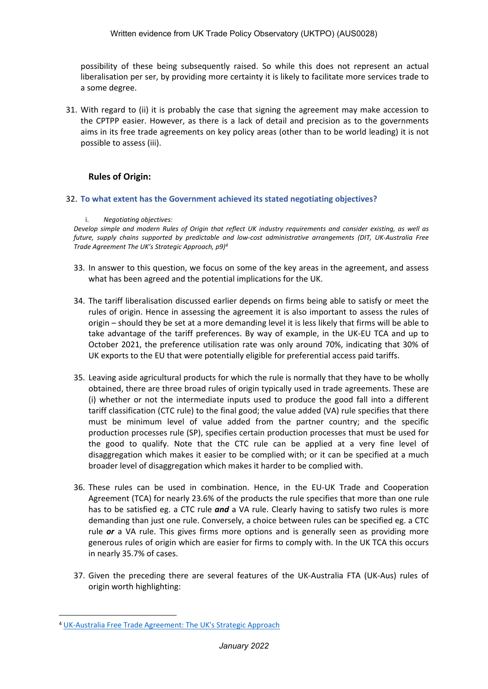possibility of these being subsequently raised. So while this does not represent an actual liberalisation per ser, by providing more certainty it is likely to facilitate more services trade to a some degree.

31. With regard to (ii) it is probably the case that signing the agreement may make accession to the CPTPP easier. However, as there is a lack of detail and precision as to the governments aims in its free trade agreements on key policy areas (other than to be world leading) it is not possible to assess (iii).

# **Rules of Origin:**

#### 32. **To what extent has the Government achieved its stated negotiating objectives?**

#### i. *Negotiating objectives:*

Develop simple and modern Rules of Origin that reflect UK industry requirements and consider existing, as well as *future, supply chains supported by predictable and low-cost administrative arrangements (DIT, UK-Australia Free Trade Agreement The UK's Strategic Approach, p9)<sup>4</sup>*

- 33. In answer to this question, we focus on some of the key areas in the agreement, and assess what has been agreed and the potential implications for the UK.
- 34. The tariff liberalisation discussed earlier depends on firms being able to satisfy or meet the rules of origin. Hence in assessing the agreement it is also important to assess the rules of origin – should they be set at a more demanding level it is less likely that firms will be able to take advantage of the tariff preferences. By way of example, in the UK-EU TCA and up to October 2021, the preference utilisation rate was only around 70%, indicating that 30% of UK exports to the EU that were potentially eligible for preferential access paid tariffs.
- 35. Leaving aside agricultural products for which the rule is normally that they have to be wholly obtained, there are three broad rules of origin typically used in trade agreements. These are (i) whether or not the intermediate inputs used to produce the good fall into a different tariff classification (CTC rule) to the final good; the value added (VA) rule specifies that there must be minimum level of value added from the partner country; and the specific production processes rule (SP), specifies certain production processes that must be used for the good to qualify. Note that the CTC rule can be applied at a very fine level of disaggregation which makes it easier to be complied with; or it can be specified at a much broader level of disaggregation which makes it harder to be complied with.
- 36. These rules can be used in combination. Hence, in the EU-UK Trade and Cooperation Agreement (TCA) for nearly 23.6% of the products the rule specifies that more than one rule has to be satisfied eg. a CTC rule *and* a VA rule. Clearly having to satisfy two rules is more demanding than just one rule. Conversely, a choice between rules can be specified eg. a CTC rule *or* a VA rule. This gives firms more options and is generally seen as providing more generous rules of origin which are easier for firms to comply with. In the UK TCA this occurs in nearly 35.7% of cases.
- 37. Given the preceding there are several features of the UK-Australia FTA (UK-Aus) rules of origin worth highlighting:

<sup>4</sup> [UK-Australia](https://www.gov.uk/government/publications/uks-approach-to-negotiating-a-free-trade-agreement-with-australia) [Free](https://www.gov.uk/government/publications/uks-approach-to-negotiating-a-free-trade-agreement-with-australia) [Trade](https://www.gov.uk/government/publications/uks-approach-to-negotiating-a-free-trade-agreement-with-australia) [Agreement:](https://www.gov.uk/government/publications/uks-approach-to-negotiating-a-free-trade-agreement-with-australia) [The](https://www.gov.uk/government/publications/uks-approach-to-negotiating-a-free-trade-agreement-with-australia) [UK's](https://www.gov.uk/government/publications/uks-approach-to-negotiating-a-free-trade-agreement-with-australia) [Strategic](https://www.gov.uk/government/publications/uks-approach-to-negotiating-a-free-trade-agreement-with-australia) [Approach](https://www.gov.uk/government/publications/uks-approach-to-negotiating-a-free-trade-agreement-with-australia)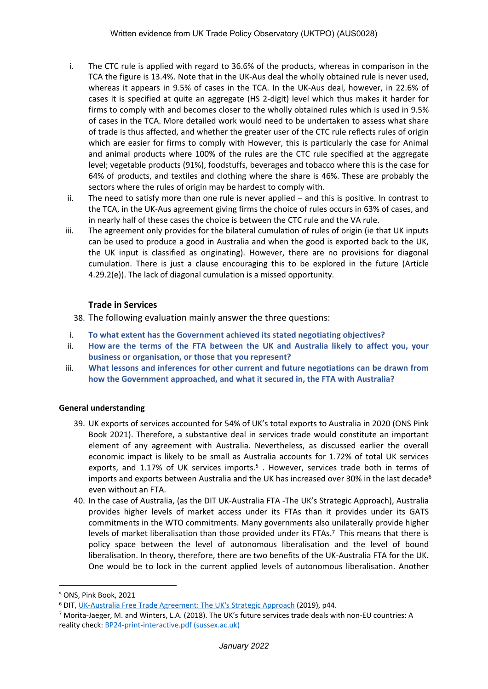- i. The CTC rule is applied with regard to 36.6% of the products, whereas in comparison in the TCA the figure is 13.4%. Note that in the UK-Aus deal the wholly obtained rule is never used, whereas it appears in 9.5% of cases in the TCA. In the UK-Aus deal, however, in 22.6% of cases it is specified at quite an aggregate (HS 2-digit) level which thus makes it harder for firms to comply with and becomes closer to the wholly obtained rules which is used in 9.5% of cases in the TCA. More detailed work would need to be undertaken to assess what share of trade is thus affected, and whether the greater user of the CTC rule reflects rules of origin which are easier for firms to comply with However, this is particularly the case for Animal and animal products where 100% of the rules are the CTC rule specified at the aggregate level; vegetable products (91%), foodstuffs, beverages and tobacco where this is the case for 64% of products, and textiles and clothing where the share is 46%. These are probably the sectors where the rules of origin may be hardest to comply with.
- ii. The need to satisfy more than one rule is never applied and this is positive. In contrast to the TCA, in the UK-Aus agreement giving firms the choice of rules occurs in 63% of cases, and in nearly half of these cases the choice is between the CTC rule and the VA rule.
- iii. The agreement only provides for the bilateral cumulation of rules of origin (ie that UK inputs can be used to produce a good in Australia and when the good is exported back to the UK, the UK input is classified as originating). However, there are no provisions for diagonal cumulation. There is just a clause encouraging this to be explored in the future (Article 4.29.2(e)). The lack of diagonal cumulation is a missed opportunity.

### **Trade in Services**

38. The following evaluation mainly answer the three questions:

- i. **To what extent has the Government achieved its stated negotiating objectives?**
- ii. **How are the terms of the FTA between the UK and Australia likely to affect you, your business or organisation, or those that you represent?**
- iii. **What lessons and inferences for other current and future negotiations can be drawn from how the Government approached, and what it secured in, the FTA with Australia?**

### **General understanding**

- 39. UK exports of services accounted for 54% of UK's total exports to Australia in 2020 (ONS Pink Book 2021). Therefore, a substantive deal in services trade would constitute an important element of any agreement with Australia. Nevertheless, as discussed earlier the overall economic impact is likely to be small as Australia accounts for 1.72% of total UK services exports, and 1.17% of UK services imports.<sup>5</sup>. However, services trade both in terms of imports and exports between Australia and the UK has increased over 30% in the last decade<sup>6</sup> even without an FTA.
- 40. In the case of Australia, (as the DIT UK-Australia FTA -The UK's Strategic Approach), Australia provides higher levels of market access under its FTAs than it provides under its GATS commitments in the WTO commitments. Many governments also unilaterally provide higher levels of market liberalisation than those provided under its FTAs.<sup>7</sup> This means that there is policy space between the level of autonomous liberalisation and the level of bound liberalisation. In theory, therefore, there are two benefits of the UK-Australia FTA for the UK. One would be to lock in the current applied levels of autonomous liberalisation. Another

<sup>5</sup> ONS, Pink Book, 2021

<sup>6</sup> DIT, [UK-Australia](https://www.gov.uk/government/publications/uks-approach-to-negotiating-a-free-trade-agreement-with-australia) [Free](https://www.gov.uk/government/publications/uks-approach-to-negotiating-a-free-trade-agreement-with-australia) [Trade](https://www.gov.uk/government/publications/uks-approach-to-negotiating-a-free-trade-agreement-with-australia) [Agreement:](https://www.gov.uk/government/publications/uks-approach-to-negotiating-a-free-trade-agreement-with-australia) [The](https://www.gov.uk/government/publications/uks-approach-to-negotiating-a-free-trade-agreement-with-australia) [UK's](https://www.gov.uk/government/publications/uks-approach-to-negotiating-a-free-trade-agreement-with-australia) [Strategic](https://www.gov.uk/government/publications/uks-approach-to-negotiating-a-free-trade-agreement-with-australia) [Approach](https://www.gov.uk/government/publications/uks-approach-to-negotiating-a-free-trade-agreement-with-australia) (2019), p44.

<sup>7</sup> Morita-Jaeger, M. and Winters, L.A. (2018). The UK's future services trade deals with non-EU countries: A reality check: [BP24-print-interactive.pdf](https://blogs.sussex.ac.uk/uktpo/files/2018/11/BP24-print-interactive.pdf) [\(sussex.ac.uk\)](https://blogs.sussex.ac.uk/uktpo/files/2018/11/BP24-print-interactive.pdf)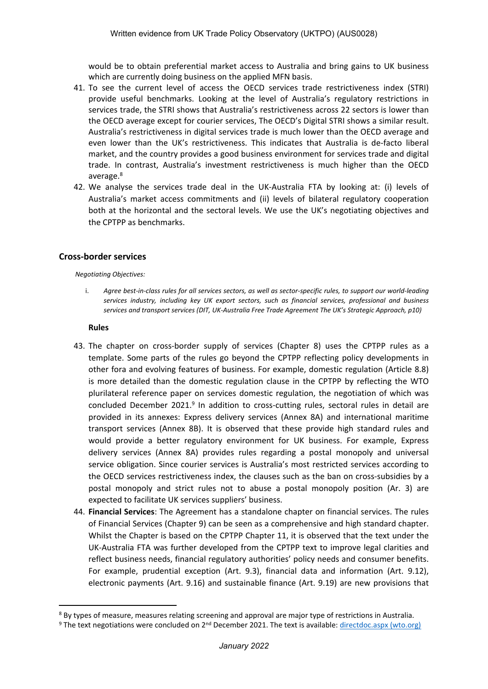would be to obtain preferential market access to Australia and bring gains to UK business which are currently doing business on the applied MFN basis.

- 41. To see the current level of access the OECD services trade restrictiveness index (STRI) provide useful benchmarks. Looking at the level of Australia's regulatory restrictions in services trade, the STRI shows that Australia's restrictiveness across 22 sectors is lower than the OECD average except for courier services, The OECD's Digital STRI shows a similar result. Australia's restrictiveness in digital services trade is much lower than the OECD average and even lower than the UK's restrictiveness. This indicates that Australia is de-facto liberal market, and the country provides a good business environment for services trade and digital trade. In contrast, Australia's investment restrictiveness is much higher than the OECD average.<sup>8</sup>
- 42. We analyse the services trade deal in the UK-Australia FTA by looking at: (i) levels of Australia's market access commitments and (ii) levels of bilateral regulatory cooperation both at the horizontal and the sectoral levels. We use the UK's negotiating objectives and the CPTPP as benchmarks.

### **Cross-border services**

#### *Negotiating Objectives:*

i. Agree best-in-class rules for all services sectors, as well as sector-specific rules, to support our world-leading *services industry, including key UK export sectors, such as financial services, professional and business services and transport services (DIT, UK-Australia Free Trade Agreement The UK's Strategic Approach, p10)*

#### **Rules**

- 43. The chapter on cross-border supply of services (Chapter 8) uses the CPTPP rules as a template. Some parts of the rules go beyond the CPTPP reflecting policy developments in other fora and evolving features of business. For example, domestic regulation (Article 8.8) is more detailed than the domestic regulation clause in the CPTPP by reflecting the WTO plurilateral reference paper on services domestic regulation, the negotiation of which was concluded December 2021.<sup>9</sup> In addition to cross-cutting rules, sectoral rules in detail are provided in its annexes: Express delivery services (Annex 8A) and international maritime transport services (Annex 8B). It is observed that these provide high standard rules and would provide a better regulatory environment for UK business. For example, Express delivery services (Annex 8A) provides rules regarding a postal monopoly and universal service obligation. Since courier services is Australia's most restricted services according to the OECD services restrictiveness index, the clauses such as the ban on cross-subsidies by a postal monopoly and strict rules not to abuse a postal monopoly position (Ar. 3) are expected to facilitate UK services suppliers' business.
- 44. **Financial Services**: The Agreement has a standalone chapter on financial services. The rules of Financial Services (Chapter 9) can be seen as a comprehensive and high standard chapter. Whilst the Chapter is based on the CPTPP Chapter 11, it is observed that the text under the UK-Australia FTA was further developed from the CPTPP text to improve legal clarities and reflect business needs, financial regulatory authorities' policy needs and consumer benefits. For example, prudential exception (Art. 9.3), financial data and information (Art. 9.12), electronic payments (Art. 9.16) and sustainable finance (Art. 9.19) are new provisions that

<sup>8</sup> By types of measure, measures relating screening and approval are major type of restrictions in Australia.

<sup>&</sup>lt;sup>9</sup> The text negotiations were concluded on 2<sup>nd</sup> December 2021. The text is available: [directdoc.aspx](https://docs.wto.org/dol2fe/Pages/SS/directdoc.aspx?filename=q:/INF/SDR/1.pdf&Open=True) [\(wto.org\)](https://docs.wto.org/dol2fe/Pages/SS/directdoc.aspx?filename=q:/INF/SDR/1.pdf&Open=True)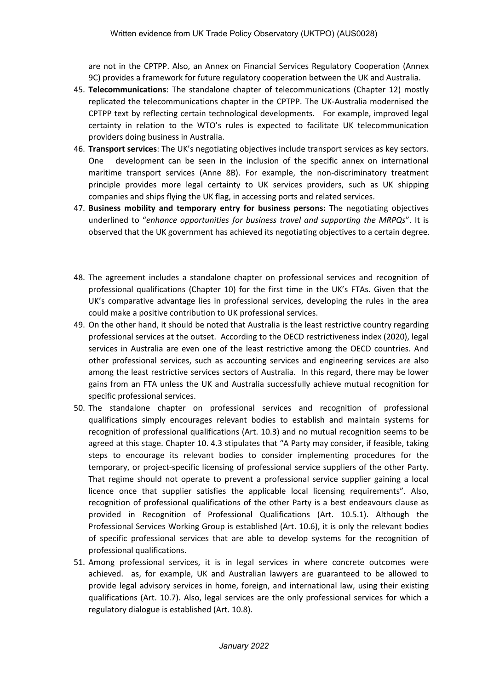are not in the CPTPP. Also, an Annex on Financial Services Regulatory Cooperation (Annex 9C) provides a framework for future regulatory cooperation between the UK and Australia.

- 45. **Telecommunications**: The standalone chapter of telecommunications (Chapter 12) mostly replicated the telecommunications chapter in the CPTPP. The UK-Australia modernised the CPTPP text by reflecting certain technological developments. For example, improved legal certainty in relation to the WTO's rules is expected to facilitate UK telecommunication providers doing business in Australia.
- 46. **Transport services**: The UK's negotiating objectives include transport services as key sectors. One development can be seen in the inclusion of the specific annex on international maritime transport services (Anne 8B). For example, the non-discriminatory treatment principle provides more legal certainty to UK services providers, such as UK shipping companies and ships flying the UK flag, in accessing ports and related services.
- 47. **Business mobility and temporary entry for business persons:** The negotiating objectives underlined to "*enhance opportunities for business travel and supporting the MRPQs*". It is observed that the UK government has achieved its negotiating objectives to a certain degree.
- 48. The agreement includes a standalone chapter on professional services and recognition of professional qualifications (Chapter 10) for the first time in the UK's FTAs. Given that the UK's comparative advantage lies in professional services, developing the rules in the area could make a positive contribution to UK professional services.
- 49. On the other hand, it should be noted that Australia is the least restrictive country regarding professional services at the outset. According to the OECD restrictiveness index (2020), legal services in Australia are even one of the least restrictive among the OECD countries. And other professional services, such as accounting services and engineering services are also among the least restrictive services sectors of Australia. In this regard, there may be lower gains from an FTA unless the UK and Australia successfully achieve mutual recognition for specific professional services.
- 50. The standalone chapter on professional services and recognition of professional qualifications simply encourages relevant bodies to establish and maintain systems for recognition of professional qualifications (Art. 10.3) and no mutual recognition seems to be agreed at this stage. Chapter 10. 4.3 stipulates that "A Party may consider, if feasible, taking steps to encourage its relevant bodies to consider implementing procedures for the temporary, or project-specific licensing of professional service suppliers of the other Party. That regime should not operate to prevent a professional service supplier gaining a local licence once that supplier satisfies the applicable local licensing requirements". Also, recognition of professional qualifications of the other Party is a best endeavours clause as provided in Recognition of Professional Qualifications (Art. 10.5.1). Although the Professional Services Working Group is established (Art. 10.6), it is only the relevant bodies of specific professional services that are able to develop systems for the recognition of professional qualifications.
- 51. Among professional services, it is in legal services in where concrete outcomes were achieved. as, for example, UK and Australian lawyers are guaranteed to be allowed to provide legal advisory services in home, foreign, and international law, using their existing qualifications (Art. 10.7). Also, legal services are the only professional services for which a regulatory dialogue is established (Art. 10.8).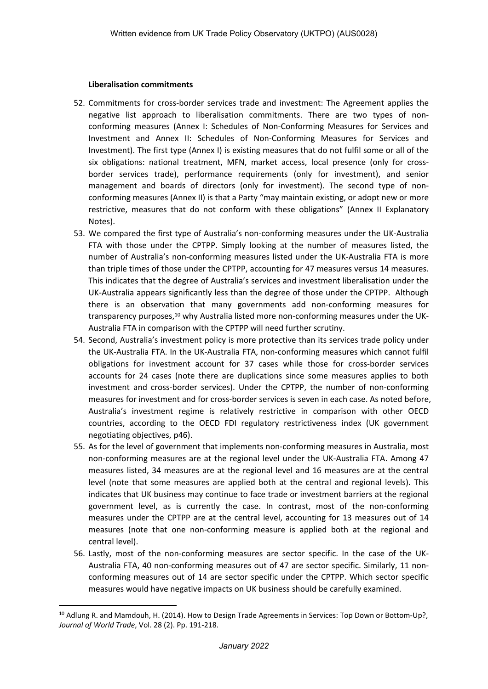### **Liberalisation commitments**

- 52. Commitments for cross-border services trade and investment: The Agreement applies the negative list approach to liberalisation commitments. There are two types of nonconforming measures (Annex I: Schedules of Non-Conforming Measures for Services and Investment and Annex II: Schedules of Non-Conforming Measures for Services and Investment). The first type (Annex I) is existing measures that do not fulfil some or all of the six obligations: national treatment, MFN, market access, local presence (only for crossborder services trade), performance requirements (only for investment), and senior management and boards of directors (only for investment). The second type of nonconforming measures (Annex II) is that a Party "may maintain existing, or adopt new or more restrictive, measures that do not conform with these obligations" (Annex II Explanatory Notes).
- 53. We compared the first type of Australia's non-conforming measures under the UK-Australia FTA with those under the CPTPP. Simply looking at the number of measures listed, the number of Australia's non-conforming measures listed under the UK-Australia FTA is more than triple times of those under the CPTPP, accounting for 47 measures versus 14 measures. This indicates that the degree of Australia's services and investment liberalisation under the UK-Australia appears significantly less than the degree of those under the CPTPP. Although there is an observation that many governments add non-conforming measures for transparency purposes,<sup>10</sup> why Australia listed more non-conforming measures under the UK-Australia FTA in comparison with the CPTPP will need further scrutiny.
- 54. Second, Australia's investment policy is more protective than its services trade policy under the UK-Australia FTA. In the UK-Australia FTA, non-conforming measures which cannot fulfil obligations for investment account for 37 cases while those for cross-border services accounts for 24 cases (note there are duplications since some measures applies to both investment and cross-border services). Under the CPTPP, the number of non-conforming measures for investment and for cross-border services is seven in each case. As noted before, Australia's investment regime is relatively restrictive in comparison with other OECD countries, according to the OECD FDI regulatory restrictiveness index (UK government negotiating objectives, p46).
- 55. As for the level of government that implements non-conforming measures in Australia, most non-conforming measures are at the regional level under the UK-Australia FTA. Among 47 measures listed, 34 measures are at the regional level and 16 measures are at the central level (note that some measures are applied both at the central and regional levels). This indicates that UK business may continue to face trade or investment barriers at the regional government level, as is currently the case. In contrast, most of the non-conforming measures under the CPTPP are at the central level, accounting for 13 measures out of 14 measures (note that one non-conforming measure is applied both at the regional and central level).
- 56. Lastly, most of the non-conforming measures are sector specific. In the case of the UK-Australia FTA, 40 non-conforming measures out of 47 are sector specific. Similarly, 11 nonconforming measures out of 14 are sector specific under the CPTPP. Which sector specific measures would have negative impacts on UK business should be carefully examined.

<sup>&</sup>lt;sup>10</sup> Adlung R. and Mamdouh, H. (2014). How to Design Trade Agreements in Services: Top Down or Bottom-Up?, *Journal of World Trade*, Vol. 28 (2). Pp. 191-218.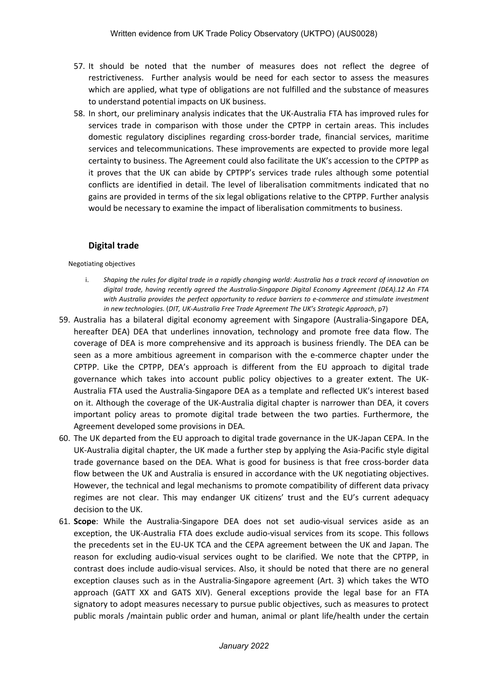- 57. It should be noted that the number of measures does not reflect the degree of restrictiveness. Further analysis would be need for each sector to assess the measures which are applied, what type of obligations are not fulfilled and the substance of measures to understand potential impacts on UK business.
- 58. In short, our preliminary analysis indicates that the UK-Australia FTA has improved rules for services trade in comparison with those under the CPTPP in certain areas. This includes domestic regulatory disciplines regarding cross-border trade, financial services, maritime services and telecommunications. These improvements are expected to provide more legal certainty to business. The Agreement could also facilitate the UK's accession to the CPTPP as it proves that the UK can abide by CPTPP's services trade rules although some potential conflicts are identified in detail. The level of liberalisation commitments indicated that no gains are provided in terms of the six legal obligations relative to the CPTPP. Further analysis would be necessary to examine the impact of liberalisation commitments to business.

# **Digital trade**

#### Negotiating objectives

- i. Shaping the rules for digital trade in a rapidly changing world: Australia has a track record of innovation on *digital trade, having recently agreed the Australia-Singapore Digital Economy Agreement (DEA).12 An FTA with Australia provides the perfect opportunity to reduce barriers to e-commerce and stimulate investment in new technologies.* (*DIT, UK-Australia Free Trade Agreement The UK's Strategic Approach*, p7)
- 59. Australia has a bilateral digital economy agreement with Singapore (Australia-Singapore DEA, hereafter DEA) DEA that underlines innovation, technology and promote free data flow. The coverage of DEA is more comprehensive and its approach is business friendly. The DEA can be seen as a more ambitious agreement in comparison with the e-commerce chapter under the CPTPP. Like the CPTPP, DEA's approach is different from the EU approach to digital trade governance which takes into account public policy objectives to a greater extent. The UK-Australia FTA used the Australia-Singapore DEA as a template and reflected UK's interest based on it. Although the coverage of the UK-Australia digital chapter is narrower than DEA, it covers important policy areas to promote digital trade between the two parties. Furthermore, the Agreement developed some provisions in DEA.
- 60. The UK departed from the EU approach to digital trade governance in the UK-Japan CEPA. In the UK-Australia digital chapter, the UK made a further step by applying the Asia-Pacific style digital trade governance based on the DEA. What is good for business is that free cross-border data flow between the UK and Australia is ensured in accordance with the UK negotiating objectives. However, the technical and legal mechanisms to promote compatibility of different data privacy regimes are not clear. This may endanger UK citizens' trust and the EU's current adequacy decision to the UK.
- 61. **Scope**: While the Australia-Singapore DEA does not set audio-visual services aside as an exception, the UK-Australia FTA does exclude audio-visual services from its scope. This follows the precedents set in the EU-UK TCA and the CEPA agreement between the UK and Japan. The reason for excluding audio-visual services ought to be clarified. We note that the CPTPP, in contrast does include audio-visual services. Also, it should be noted that there are no general exception clauses such as in the Australia-Singapore agreement (Art. 3) which takes the WTO approach (GATT XX and GATS XIV). General exceptions provide the legal base for an FTA signatory to adopt measures necessary to pursue public objectives, such as measures to protect public morals /maintain public order and human, animal or plant life/health under the certain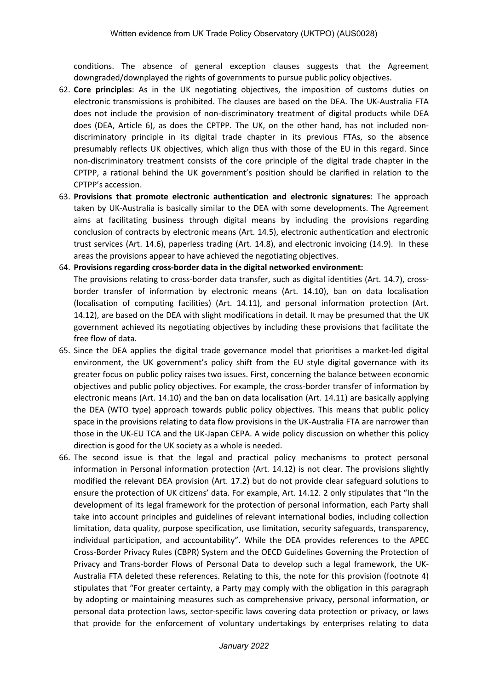conditions. The absence of general exception clauses suggests that the Agreement downgraded/downplayed the rights of governments to pursue public policy objectives.

- 62. **Core principles**: As in the UK negotiating objectives, the imposition of customs duties on electronic transmissions is prohibited. The clauses are based on the DEA. The UK-Australia FTA does not include the provision of non-discriminatory treatment of digital products while DEA does (DEA, Article 6), as does the CPTPP. The UK, on the other hand, has not included nondiscriminatory principle in its digital trade chapter in its previous FTAs, so the absence presumably reflects UK objectives, which align thus with those of the EU in this regard. Since non-discriminatory treatment consists of the core principle of the digital trade chapter in the CPTPP, a rational behind the UK government's position should be clarified in relation to the CPTPP's accession.
- 63. **Provisions that promote electronic authentication and electronic signatures**: The approach taken by UK-Australia is basically similar to the DEA with some developments. The Agreement aims at facilitating business through digital means by including the provisions regarding conclusion of contracts by electronic means (Art. 14.5), electronic authentication and electronic trust services (Art. 14.6), paperless trading (Art. 14.8), and electronic invoicing (14.9). In these areas the provisions appear to have achieved the negotiating objectives.
- 64. **Provisions regarding cross-border data in the digital networked environment:**

The provisions relating to cross-border data transfer, such as digital identities (Art. 14.7), crossborder transfer of information by electronic means (Art. 14.10), ban on data localisation (localisation of computing facilities) (Art. 14.11), and personal information protection (Art. 14.12), are based on the DEA with slight modifications in detail. It may be presumed that the UK government achieved its negotiating objectives by including these provisions that facilitate the free flow of data.

- 65. Since the DEA applies the digital trade governance model that prioritises a market-led digital environment, the UK government's policy shift from the EU style digital governance with its greater focus on public policy raises two issues. First, concerning the balance between economic objectives and public policy objectives. For example, the cross-border transfer of information by electronic means (Art. 14.10) and the ban on data localisation (Art. 14.11) are basically applying the DEA (WTO type) approach towards public policy objectives. This means that public policy space in the provisions relating to data flow provisions in the UK-Australia FTA are narrower than those in the UK-EU TCA and the UK-Japan CEPA. A wide policy discussion on whether this policy direction is good for the UK society as a whole is needed.
- 66. The second issue is that the legal and practical policy mechanisms to protect personal information in Personal information protection (Art. 14.12) is not clear. The provisions slightly modified the relevant DEA provision (Art. 17.2) but do not provide clear safeguard solutions to ensure the protection of UK citizens' data. For example, Art. 14.12. 2 only stipulates that "In the development of its legal framework for the protection of personal information, each Party shall take into account principles and guidelines of relevant international bodies, including collection limitation, data quality, purpose specification, use limitation, security safeguards, transparency, individual participation, and accountability". While the DEA provides references to the APEC Cross-Border Privacy Rules (CBPR) System and the OECD Guidelines Governing the Protection of Privacy and Trans-border Flows of Personal Data to develop such a legal framework, the UK-Australia FTA deleted these references. Relating to this, the note for this provision (footnote 4) stipulates that "For greater certainty, a Party may comply with the obligation in this paragraph by adopting or maintaining measures such as comprehensive privacy, personal information, or personal data protection laws, sector-specific laws covering data protection or privacy, or laws that provide for the enforcement of voluntary undertakings by enterprises relating to data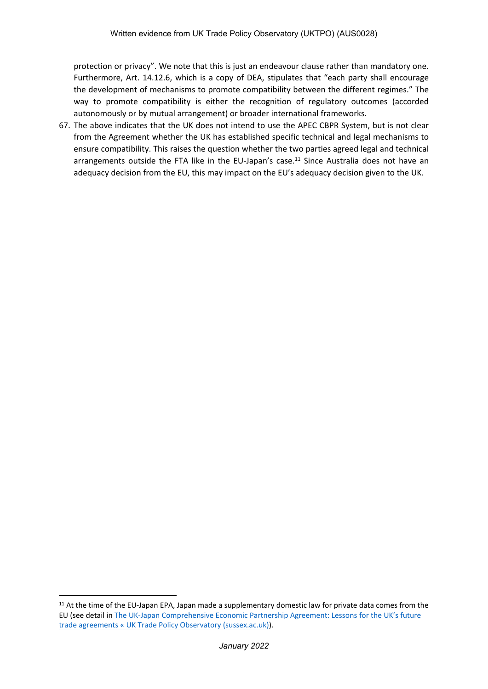protection or privacy". We note that this is just an endeavour clause rather than mandatory one. Furthermore, Art. 14.12.6, which is a copy of DEA, stipulates that "each party shall encourage the development of mechanisms to promote compatibility between the different regimes." The way to promote compatibility is either the recognition of regulatory outcomes (accorded autonomously or by mutual arrangement) or broader international frameworks.

67. The above indicates that the UK does not intend to use the APEC CBPR System, but is not clear from the Agreement whether the UK has established specific technical and legal mechanisms to ensure compatibility. This raises the question whether the two parties agreed legal and technical arrangements outside the FTA like in the EU-Japan's case.<sup>11</sup> Since Australia does not have an adequacy decision from the EU, this may impact on the EU's adequacy decision given to the UK.

<sup>&</sup>lt;sup>11</sup> At the time of the EU-Japan EPA, Japan made a supplementary domestic law for private data comes from the EU (see detail in [The](https://blogs.sussex.ac.uk/uktpo/publications/cepa-lessons-for-the-uks-future-trade-agreements/) [UK-Japan](https://blogs.sussex.ac.uk/uktpo/publications/cepa-lessons-for-the-uks-future-trade-agreements/) [Comprehensive](https://blogs.sussex.ac.uk/uktpo/publications/cepa-lessons-for-the-uks-future-trade-agreements/) [Economic](https://blogs.sussex.ac.uk/uktpo/publications/cepa-lessons-for-the-uks-future-trade-agreements/) [Partnership](https://blogs.sussex.ac.uk/uktpo/publications/cepa-lessons-for-the-uks-future-trade-agreements/) [Agreement:](https://blogs.sussex.ac.uk/uktpo/publications/cepa-lessons-for-the-uks-future-trade-agreements/) [Lessons](https://blogs.sussex.ac.uk/uktpo/publications/cepa-lessons-for-the-uks-future-trade-agreements/) [for](https://blogs.sussex.ac.uk/uktpo/publications/cepa-lessons-for-the-uks-future-trade-agreements/) [the](https://blogs.sussex.ac.uk/uktpo/publications/cepa-lessons-for-the-uks-future-trade-agreements/) [UK's](https://blogs.sussex.ac.uk/uktpo/publications/cepa-lessons-for-the-uks-future-trade-agreements/) [future](https://blogs.sussex.ac.uk/uktpo/publications/cepa-lessons-for-the-uks-future-trade-agreements/) [trade](https://blogs.sussex.ac.uk/uktpo/publications/cepa-lessons-for-the-uks-future-trade-agreements/) [agreements](https://blogs.sussex.ac.uk/uktpo/publications/cepa-lessons-for-the-uks-future-trade-agreements/) [«](https://blogs.sussex.ac.uk/uktpo/publications/cepa-lessons-for-the-uks-future-trade-agreements/) [UK](https://blogs.sussex.ac.uk/uktpo/publications/cepa-lessons-for-the-uks-future-trade-agreements/) [Trade](https://blogs.sussex.ac.uk/uktpo/publications/cepa-lessons-for-the-uks-future-trade-agreements/) [Policy](https://blogs.sussex.ac.uk/uktpo/publications/cepa-lessons-for-the-uks-future-trade-agreements/) [Observatory](https://blogs.sussex.ac.uk/uktpo/publications/cepa-lessons-for-the-uks-future-trade-agreements/) [\(sussex.ac.uk\)](https://blogs.sussex.ac.uk/uktpo/publications/cepa-lessons-for-the-uks-future-trade-agreements/)).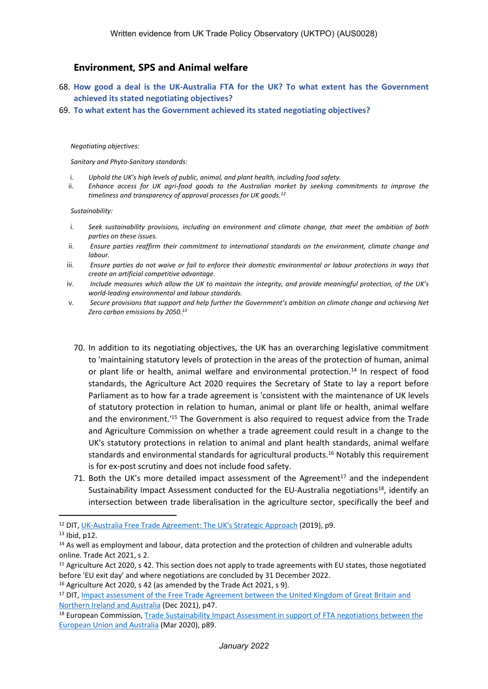# **Environment, SPS and Animal welfare**

- 68. **How good a deal is the UK-Australia FTA for the UK? To what extent has the Government achieved its stated negotiating objectives?**
- 69. **To what extent has the Government achieved its stated negotiating objectives?**

#### *Negotiating objectives:*

*Sanitary and Phyto-Sanitary standards:*

- i. *Uphold the UK's high levels of public, animal, and plant health, including food safety.*
- ii. *Enhance access for UK agri-food goods to the Australian market by seeking commitments to improve the timeliness and transparency of approval processes for UK goods.<sup>12</sup>*

#### *Sustainability:*

- i. *Seek sustainability provisions, including on environment and climate change, that meet the ambition of both parties on these issues.*
- ii. *Ensure parties reaffirm their commitment to international standards on the environment, climate change and labour.*
- iii. Ensure parties do not waive or fail to enforce their domestic environmental or labour protections in ways that *create an artificial competitive advantage.*
- iv. Include measures which allow the UK to maintain the integrity, and provide meaningful protection, of the UK's *world-leading environmental and labour standards.*
- v. *Secure provisions that support and help further the Government's ambition on climate change and achieving Net Zero carbon emissions by 2050.<sup>13</sup>*
- 70. In addition to its negotiating objectives, the UK has an overarching legislative commitment to 'maintaining statutory levels of protection in the areas of the protection of human, animal or plant life or health, animal welfare and environmental protection.<sup>14</sup> In respect of food standards, the Agriculture Act 2020 requires the Secretary of State to lay a report before Parliament as to how far a trade agreement is 'consistent with the maintenance of UK levels of statutory protection in relation to human, animal or plant life or health, animal welfare and the environment.'<sup>15</sup> The Government is also required to request advice from the Trade and Agriculture Commission on whether a trade agreement could result in a change to the UK's statutory protections in relation to animal and plant health standards, animal welfare standards and environmental standards for agricultural products.<sup>16</sup> Notably this requirement is for ex-post scrutiny and does not include food safety.
- 71. Both the UK's more detailed impact assessment of the Agreement<sup>17</sup> and the independent Sustainability Impact Assessment conducted for the EU-Australia negotiations<sup>18</sup>, identify an intersection between trade liberalisation in the agriculture sector, specifically the beef and

<sup>12</sup> DIT, [UK-Australia](https://www.gov.uk/government/publications/uks-approach-to-negotiating-a-free-trade-agreement-with-australia) [Free](https://www.gov.uk/government/publications/uks-approach-to-negotiating-a-free-trade-agreement-with-australia) [Trade](https://www.gov.uk/government/publications/uks-approach-to-negotiating-a-free-trade-agreement-with-australia) [Agreement:](https://www.gov.uk/government/publications/uks-approach-to-negotiating-a-free-trade-agreement-with-australia) [The](https://www.gov.uk/government/publications/uks-approach-to-negotiating-a-free-trade-agreement-with-australia) [UK's](https://www.gov.uk/government/publications/uks-approach-to-negotiating-a-free-trade-agreement-with-australia) [Strategic](https://www.gov.uk/government/publications/uks-approach-to-negotiating-a-free-trade-agreement-with-australia) [Approach](https://www.gov.uk/government/publications/uks-approach-to-negotiating-a-free-trade-agreement-with-australia) (2019), p9.

<sup>13</sup> Ibid, p12.

<sup>&</sup>lt;sup>14</sup> As well as employment and labour, data protection and the protection of children and vulnerable adults online. Trade Act 2021, s 2.

<sup>&</sup>lt;sup>15</sup> Agriculture Act 2020, s 42. This section does not apply to trade agreements with EU states, those negotiated before 'EU exit day' and where negotiations are concluded by 31 December 2022. <sup>16</sup> Agriculture Act 2020, s 42 (as amended by the Trade Act 2021, s 9).

<sup>&</sup>lt;sup>17</sup> DIT, [Impact](https://www.gov.uk/government/publications/uk-australia-fta-impact-assessment) [assessment](https://www.gov.uk/government/publications/uk-australia-fta-impact-assessment) [of](https://www.gov.uk/government/publications/uk-australia-fta-impact-assessment) [the](https://www.gov.uk/government/publications/uk-australia-fta-impact-assessment) [Free](https://www.gov.uk/government/publications/uk-australia-fta-impact-assessment) [Trade](https://www.gov.uk/government/publications/uk-australia-fta-impact-assessment) [Agreement](https://www.gov.uk/government/publications/uk-australia-fta-impact-assessment) [between](https://www.gov.uk/government/publications/uk-australia-fta-impact-assessment) the [United](https://www.gov.uk/government/publications/uk-australia-fta-impact-assessment) [Kingdom](https://www.gov.uk/government/publications/uk-australia-fta-impact-assessment) of [Great](https://www.gov.uk/government/publications/uk-australia-fta-impact-assessment) [Britain](https://www.gov.uk/government/publications/uk-australia-fta-impact-assessment) [and](https://www.gov.uk/government/publications/uk-australia-fta-impact-assessment) [Northern](https://www.gov.uk/government/publications/uk-australia-fta-impact-assessment) [Ireland](https://www.gov.uk/government/publications/uk-australia-fta-impact-assessment) [and](https://www.gov.uk/government/publications/uk-australia-fta-impact-assessment) [Australia](https://www.gov.uk/government/publications/uk-australia-fta-impact-assessment) (Dec 2021), p47.

<sup>&</sup>lt;sup>18</sup> European Commission, [Trade](https://trade.ec.europa.eu/doclib/press/index.cfm?id=1865) [Sustainability](https://trade.ec.europa.eu/doclib/press/index.cfm?id=1865) [Impact](https://trade.ec.europa.eu/doclib/press/index.cfm?id=1865) [Assessment](https://trade.ec.europa.eu/doclib/press/index.cfm?id=1865) [in](https://trade.ec.europa.eu/doclib/press/index.cfm?id=1865) [support](https://trade.ec.europa.eu/doclib/press/index.cfm?id=1865) [of](https://trade.ec.europa.eu/doclib/press/index.cfm?id=1865) [FTA](https://trade.ec.europa.eu/doclib/press/index.cfm?id=1865) [negotiations](https://trade.ec.europa.eu/doclib/press/index.cfm?id=1865) [between](https://trade.ec.europa.eu/doclib/press/index.cfm?id=1865) [the](https://trade.ec.europa.eu/doclib/press/index.cfm?id=1865) [European](https://trade.ec.europa.eu/doclib/press/index.cfm?id=1865) [Union](https://trade.ec.europa.eu/doclib/press/index.cfm?id=1865) [and](https://trade.ec.europa.eu/doclib/press/index.cfm?id=1865) [Australia](https://trade.ec.europa.eu/doclib/press/index.cfm?id=1865) (Mar 2020), p89.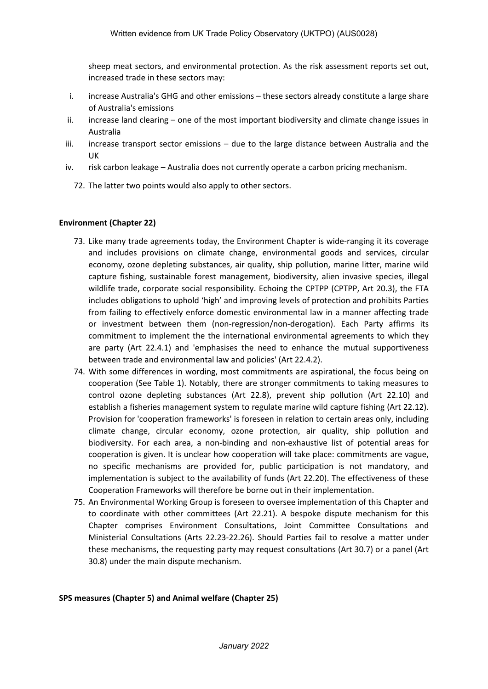sheep meat sectors, and environmental protection. As the risk assessment reports set out, increased trade in these sectors may:

- i. increase Australia's GHG and other emissions these sectors already constitute a large share of Australia's emissions
- ii. increase land clearing one of the most important biodiversity and climate change issues in Australia
- iii. increase transport sector emissions due to the large distance between Australia and the UK
- iv. risk carbon leakage Australia does not currently operate a carbon pricing mechanism.
	- 72. The latter two points would also apply to other sectors.

### **Environment (Chapter 22)**

- 73. Like many trade agreements today, the Environment Chapter is wide-ranging it its coverage and includes provisions on climate change, environmental goods and services, circular economy, ozone depleting substances, air quality, ship pollution, marine litter, marine wild capture fishing, sustainable forest management, biodiversity, alien invasive species, illegal wildlife trade, corporate social responsibility. Echoing the CPTPP (CPTPP, Art 20.3), the FTA includes obligations to uphold 'high' and improving levels of protection and prohibits Parties from failing to effectively enforce domestic environmental law in a manner affecting trade or investment between them (non-regression/non-derogation). Each Party affirms its commitment to implement the the international environmental agreements to which they are party (Art 22.4.1) and 'emphasises the need to enhance the mutual supportiveness between trade and environmental law and policies' (Art 22.4.2).
- 74. With some differences in wording, most commitments are aspirational, the focus being on cooperation (See Table 1). Notably, there are stronger commitments to taking measures to control ozone depleting substances (Art 22.8), prevent ship pollution (Art 22.10) and establish a fisheries management system to regulate marine wild capture fishing (Art 22.12). Provision for 'cooperation frameworks' is foreseen in relation to certain areas only, including climate change, circular economy, ozone protection, air quality, ship pollution and biodiversity. For each area, a non-binding and non-exhaustive list of potential areas for cooperation is given. It is unclear how cooperation will take place: commitments are vague, no specific mechanisms are provided for, public participation is not mandatory, and implementation is subject to the availability of funds (Art 22.20). The effectiveness of these Cooperation Frameworks will therefore be borne out in their implementation.
- 75. An Environmental Working Group is foreseen to oversee implementation of this Chapter and to coordinate with other committees (Art 22.21). A bespoke dispute mechanism for this Chapter comprises Environment Consultations, Joint Committee Consultations and Ministerial Consultations (Arts 22.23-22.26). Should Parties fail to resolve a matter under these mechanisms, the requesting party may request consultations (Art 30.7) or a panel (Art 30.8) under the main dispute mechanism.

#### **SPS measures (Chapter 5) and Animal welfare (Chapter 25)**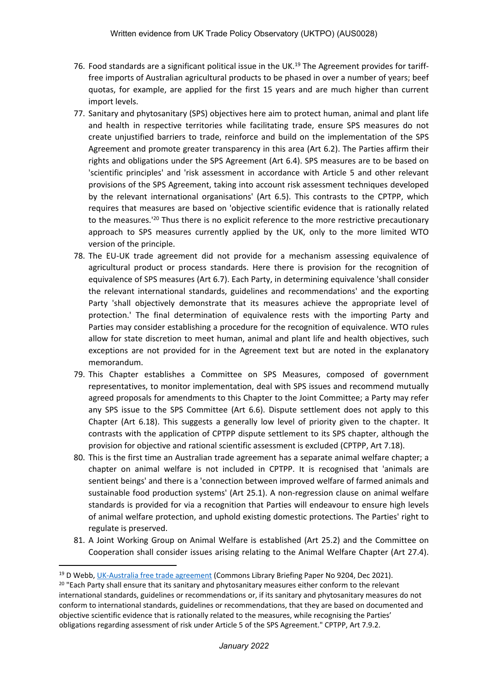- 76. Food standards are a significant political issue in the UK.<sup>19</sup> The Agreement provides for tarifffree imports of Australian agricultural products to be phased in over a number of years; beef quotas, for example, are applied for the first 15 years and are much higher than current import levels.
- 77. Sanitary and phytosanitary (SPS) objectives here aim to protect human, animal and plant life and health in respective territories while facilitating trade, ensure SPS measures do not create unjustified barriers to trade, reinforce and build on the implementation of the SPS Agreement and promote greater transparency in this area (Art 6.2). The Parties affirm their rights and obligations under the SPS Agreement (Art 6.4). SPS measures are to be based on 'scientific principles' and 'risk assessment in accordance with Article 5 and other relevant provisions of the SPS Agreement, taking into account risk assessment techniques developed by the relevant international organisations' (Art 6.5). This contrasts to the CPTPP, which requires that measures are based on 'objective scientific evidence that is rationally related to the measures.<sup>120</sup> Thus there is no explicit reference to the more restrictive precautionary approach to SPS measures currently applied by the UK, only to the more limited WTO version of the principle.
- 78. The EU-UK trade agreement did not provide for a mechanism assessing equivalence of agricultural product or process standards. Here there is provision for the recognition of equivalence of SPS measures (Art 6.7). Each Party, in determining equivalence 'shall consider the relevant international standards, guidelines and recommendations' and the exporting Party 'shall objectively demonstrate that its measures achieve the appropriate level of protection.' The final determination of equivalence rests with the importing Party and Parties may consider establishing a procedure for the recognition of equivalence. WTO rules allow for state discretion to meet human, animal and plant life and health objectives, such exceptions are not provided for in the Agreement text but are noted in the explanatory memorandum.
- 79. This Chapter establishes a Committee on SPS Measures, composed of government representatives, to monitor implementation, deal with SPS issues and recommend mutually agreed proposals for amendments to this Chapter to the Joint Committee; a Party may refer any SPS issue to the SPS Committee (Art 6.6). Dispute settlement does not apply to this Chapter (Art 6.18). This suggests a generally low level of priority given to the chapter. It contrasts with the application of CPTPP dispute settlement to its SPS chapter, although the provision for objective and rational scientific assessment is excluded (CPTPP, Art 7.18).
- 80. This is the first time an Australian trade agreement has a separate animal welfare chapter; a chapter on animal welfare is not included in CPTPP. It is recognised that 'animals are sentient beings' and there is a 'connection between improved welfare of farmed animals and sustainable food production systems' (Art 25.1). A non-regression clause on animal welfare standards is provided for via a recognition that Parties will endeavour to ensure high levels of animal welfare protection, and uphold existing domestic protections. The Parties' right to regulate is preserved.
- 81. A Joint Working Group on Animal Welfare is established (Art 25.2) and the Committee on Cooperation shall consider issues arising relating to the Animal Welfare Chapter (Art 27.4).

<sup>19</sup> D Webb, [UK-Australia](https://commonslibrary.parliament.uk/research-briefings/cbp-9204/) [free](https://commonslibrary.parliament.uk/research-briefings/cbp-9204/) [trade](https://commonslibrary.parliament.uk/research-briefings/cbp-9204/) [agreement](https://commonslibrary.parliament.uk/research-briefings/cbp-9204/) (Commons Library Briefing Paper No 9204, Dec 2021).

<sup>&</sup>lt;sup>20</sup> "Each Party shall ensure that its sanitary and phytosanitary measures either conform to the relevant international standards, guidelines or recommendations or, if its sanitary and phytosanitary measures do not conform to international standards, guidelines or recommendations, that they are based on documented and objective scientific evidence that is rationally related to the measures, while recognising the Parties' obligations regarding assessment of risk under Article 5 of the SPS Agreement." CPTPP, Art 7.9.2.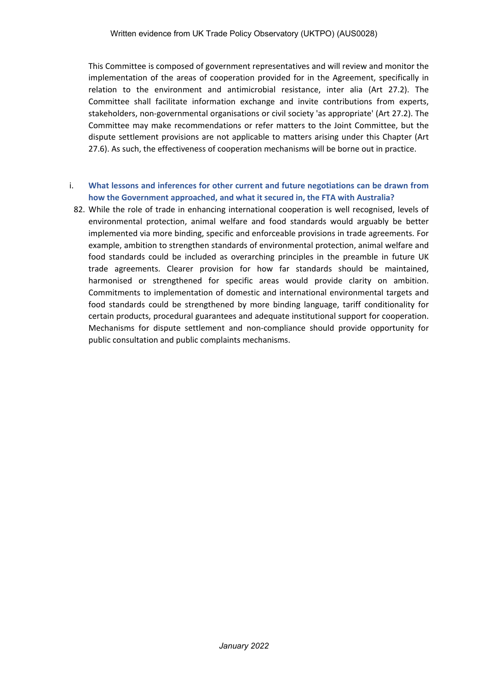This Committee is composed of government representatives and will review and monitor the implementation of the areas of cooperation provided for in the Agreement, specifically in relation to the environment and antimicrobial resistance, inter alia (Art 27.2). The Committee shall facilitate information exchange and invite contributions from experts, stakeholders, non-governmental organisations or civil society 'as appropriate' (Art 27.2). The Committee may make recommendations or refer matters to the Joint Committee, but the dispute settlement provisions are not applicable to matters arising under this Chapter (Art 27.6). As such, the effectiveness of cooperation mechanisms will be borne out in practice.

### i. **What lessons and inferences for other current and future negotiations can be drawn from how the Government approached, and what it secured in, the FTA with Australia?**

82. While the role of trade in enhancing international cooperation is well recognised, levels of environmental protection, animal welfare and food standards would arguably be better implemented via more binding, specific and enforceable provisions in trade agreements. For example, ambition to strengthen standards of environmental protection, animal welfare and food standards could be included as overarching principles in the preamble in future UK trade agreements. Clearer provision for how far standards should be maintained, harmonised or strengthened for specific areas would provide clarity on ambition. Commitments to implementation of domestic and international environmental targets and food standards could be strengthened by more binding language, tariff conditionality for certain products, procedural guarantees and adequate institutional support for cooperation. Mechanisms for dispute settlement and non-compliance should provide opportunity for public consultation and public complaints mechanisms.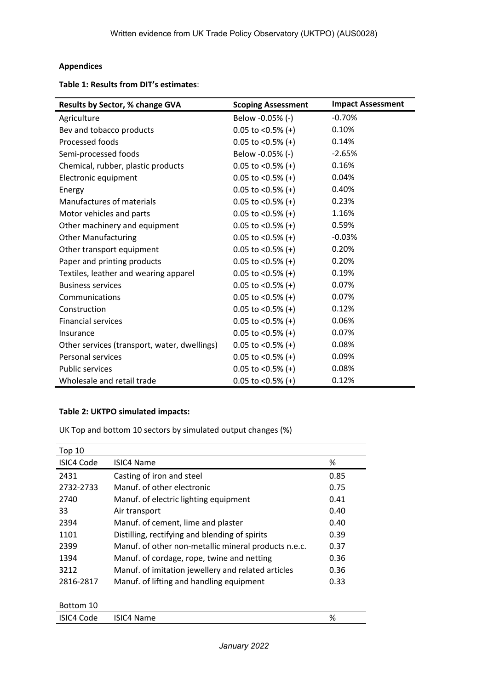# **Appendices**

**Table 1: Results from DIT's estimates**:

| Results by Sector, % change GVA              | <b>Scoping Assessment</b> | <b>Impact Assessment</b> |
|----------------------------------------------|---------------------------|--------------------------|
| Agriculture                                  | Below -0.05% (-)          | $-0.70%$                 |
| Bev and tobacco products                     | $0.05$ to <0.5% (+)       | 0.10%                    |
| Processed foods                              | $0.05$ to <0.5% (+)       | 0.14%                    |
| Semi-processed foods                         | Below -0.05% (-)          | $-2.65%$                 |
| Chemical, rubber, plastic products           | $0.05$ to <0.5% (+)       | 0.16%                    |
| Electronic equipment                         | $0.05$ to <0.5% (+)       | 0.04%                    |
| Energy                                       | $0.05$ to <0.5% (+)       | 0.40%                    |
| Manufactures of materials                    | $0.05$ to <0.5% (+)       | 0.23%                    |
| Motor vehicles and parts                     | $0.05$ to <0.5% (+)       | 1.16%                    |
| Other machinery and equipment                | $0.05$ to <0.5% (+)       | 0.59%                    |
| <b>Other Manufacturing</b>                   | $0.05$ to <0.5% (+)       | $-0.03%$                 |
| Other transport equipment                    | $0.05$ to <0.5% (+)       | 0.20%                    |
| Paper and printing products                  | $0.05$ to <0.5% (+)       | 0.20%                    |
| Textiles, leather and wearing apparel        | $0.05$ to <0.5% (+)       | 0.19%                    |
| <b>Business services</b>                     | $0.05$ to <0.5% (+)       | 0.07%                    |
| Communications                               | $0.05$ to <0.5% (+)       | 0.07%                    |
| Construction                                 | $0.05$ to <0.5% (+)       | 0.12%                    |
| <b>Financial services</b>                    | $0.05$ to <0.5% (+)       | 0.06%                    |
| Insurance                                    | $0.05$ to <0.5% (+)       | 0.07%                    |
| Other services (transport, water, dwellings) | $0.05$ to <0.5% (+)       | 0.08%                    |
| Personal services                            | $0.05$ to <0.5% (+)       | 0.09%                    |
| <b>Public services</b>                       | $0.05$ to <0.5% (+)       | 0.08%                    |
| Wholesale and retail trade                   | $0.05$ to <0.5% (+)       | 0.12%                    |

### **Table 2: UKTPO simulated impacts:**

UK Top and bottom 10 sectors by simulated output changes (%)

| Top 10     |                                                      |      |
|------------|------------------------------------------------------|------|
| ISIC4 Code | <b>ISIC4 Name</b>                                    | %    |
| 2431       | Casting of iron and steel                            | 0.85 |
| 2732-2733  | Manuf, of other electronic                           | 0.75 |
| 2740       | Manuf. of electric lighting equipment                | 0.41 |
| 33         | Air transport                                        | 0.40 |
| 2394       | Manuf. of cement, lime and plaster                   | 0.40 |
| 1101       | Distilling, rectifying and blending of spirits       | 0.39 |
| 2399       | Manuf. of other non-metallic mineral products n.e.c. | 0.37 |
| 1394       | Manuf. of cordage, rope, twine and netting           | 0.36 |
| 3212       | Manuf. of imitation jewellery and related articles   | 0.36 |
| 2816-2817  | Manuf. of lifting and handling equipment             | 0.33 |
|            |                                                      |      |
| Bottom 10  |                                                      |      |
| ISIC4 Code | <b>ISIC4 Name</b>                                    | %    |